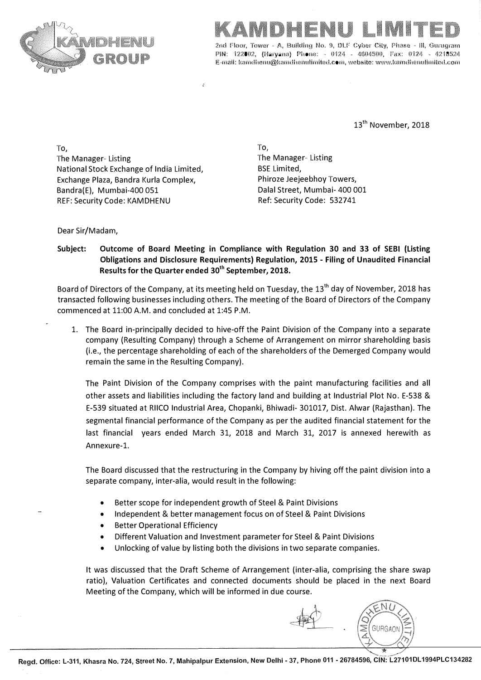



2nd Floor, Tower ,. **A,** Building No. 9, DLF Cyber **City,** Phase - Ill, Gurngram PIN: 122802, (Haryana) Phone: - 0124 - 4604500, Fax: 0124 - 4218524 **E-mail: kamdhenu@kamdhenulimited.com, website: www.karndhenulimited.com** 

13<sup>th</sup> November, 2018

To, The Manager-Listing The Manager-Listing National Stock Exchange of India Limited, BSE Limited, Exchange Plaza, Bandra Kurla Complex, Bandra(E), Mumbai-400 051 REF: Security Code: KAMDHENU

To, Phiroze Jeejeebhoy Towers, Dalal Street, Mumbai- 400 001 Ref: Security Code: 532741

Dear Sir/Madam,

**Subject: Outcome of Board Meeting in Compliance with Regulation 30 and 33 of SEBI (Listing Obligations and Disclosure Requirements) Regulation, 2015 - Filing of Unaudited Financial Results for the Quarter ended 30th September, 2018.** 

Board of Directors of the Company, at its meeting held on Tuesday, the 13<sup>th</sup> day of November, 2018 has transacted following businesses including others. The meeting of the Board of Directors of the Company commenced at 11:00 A.M. and concluded at 1:45 P.M.

1. The Board in-principally decided to hive-off the Paint Division of the Company into a separate company (Resulting Company) through a Scheme of Arrangement on mirror shareholding basis (i.e., the percentage shareholding of each of the shareholders of the Demerged Company would remain the same in the Resulting Company).

The Paint Division of the Company comprises with the paint manufacturing facilities and all other assets and liabilities including the factory land and building at Industrial Plot No. E-538 & E-539 situated at RIICO Industrial Area, Chopanki, Bhiwadi- 301017, Dist. Alwar (Rajasthan). The segmental financial performance of the Company as per the audited financial statement for the last financial years ended March 31, 2018 and March 31, 2017 is annexed herewith as Annexure-1.

The Board discussed that the restructuring in the Company by hiving off the paint division into a separate company, inter-alia, would result in the following:

- Better scope for independent growth of Steel & Paint Divisions
- Independent & better management focus on of Steel & Paint Divisions
- **Better Operational Efficiency**
- Different Valuation and Investment parameter for Steel & Paint Divisions
- Unlocking of value by listing both the divisions in two separate companies.

It was discussed that the Draft Scheme of Arrangement (inter-alia, comprising the share swap ratio), Valuation Certificates and connected documents should be placed in the next Board Meeting of the Company, which will be informed in due course.

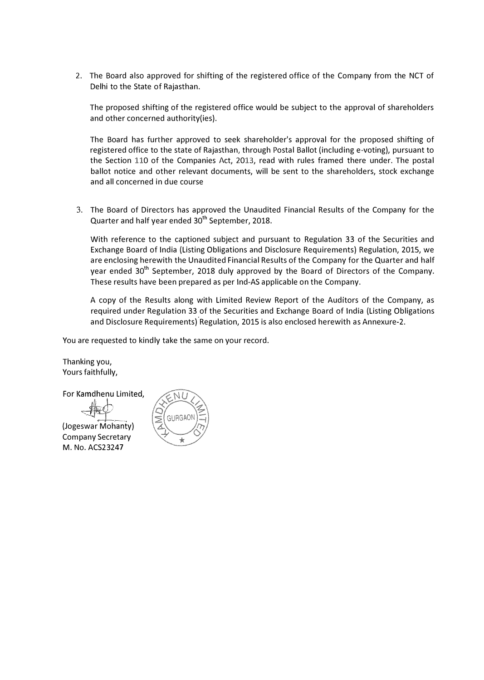2. The Board also approved for shifting of the registered office of the Company from the NCT of Delhi to the State of Rajasthan.

The proposed shifting of the registered office would be subject to the approval of shareholders and other concerned authority(ies).

The Board has further approved to seek shareholder's approval for the proposed shifting of registered office to the state of Rajasthan, through Postal Ballot (including e-voting), pursuant to the Section 110 of the Companies Act, 2013, read with rules framed there under. The postal ballot notice and other relevant documents, will be sent to the shareholders, stock exchange and all concerned in due course

3. The Board of Directors has approved the Unaudited Financial Results of the Company for the Quarter and half year ended 30<sup>th</sup> September, 2018.

With reference to the captioned subject and pursuant to Regulation 33 of the Securities and Exchange Board of India (Listing Obligations and Disclosure Requirements) Regulation, 2015, we are enclosing herewith the Unaudited Financial Results of the Company for the Quarter and half year ended 30<sup>th</sup> September, 2018 duly approved by the Board of Directors of the Company. These results have been prepared as per Ind-AS applicable on the Company.

A copy of the Results along with Limited Review Report of the Auditors of the Company, as required under Regulation 33 of the Securities and Exchange Board of India (Listing Obligations and Disclosure Requirements) Regulation, 2015 is also enclosed herewith as Annexure-2.

You are requested to kindly take the same on your record.

Thanking you, Yours faithfully,

**For Kamdhenu Limited.** 

(Jogeswar Mohanty) Company Secretary M. No. ACS23247

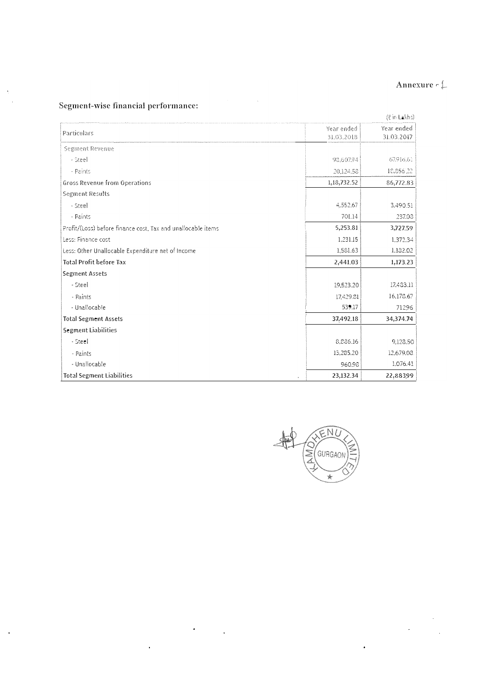### Annexure <sup>r</sup>

 $\mathbb{R}^2$ 

 $\ddot{\phantom{1}}$ 

# Segment-wise financial performance:

J.  $\overline{\phantom{a}}$ 

 $\frac{1}{2}$ 

|                                                              |                          | (₹ in Lakhs)             |
|--------------------------------------------------------------|--------------------------|--------------------------|
| Particulars                                                  | Year ended<br>31.03.2018 | Year ended<br>31.03.2017 |
| Segment Revenue                                              |                          |                          |
| - Steel                                                      | 98,607.94                | 67.916.61                |
| - Paints                                                     | 20.124.58                | 18,856,22                |
| Gross Revenue from Operations                                | 1,18,732.52              | 86,772.83                |
| Segment Results                                              |                          |                          |
| - Steel                                                      | 4,552.67                 | 3,490.51                 |
| - Paints                                                     | 701.14                   | 237.08                   |
| Profit/(Loss) before finance cost. Tax and unallocable items | 5,253.81                 | 3,727.59                 |
| Less: Finance cost                                           | 1.231.15                 | 1,372.34                 |
| Less: Other Unallocable Expenditure net of Income            | 1,581.63                 | 1,182.02                 |
| <b>Total Profit before Tax</b>                               | 2,441.03                 | 1,173.23                 |
| Segment Assets                                               |                          |                          |
| - Steel                                                      | 19,523.20                | 17,483.11                |
| - Paints                                                     | 17,429.81                | 16,178.67                |
| - Unallocable                                                | 539.17                   | 71296                    |
| <b>Total Segment Assets</b>                                  | 37,492.18                | 34,374.74                |
| Segment Liabilities                                          |                          |                          |
| - Steel                                                      | 8,886.16                 | 9.128.50                 |
| - Paints                                                     | 13,285.20                | 12,679.08                |
| - Unallocable                                                | 960.98                   | 1,076.41                 |
| <b>Total Segment Liabilities</b>                             | 23,132.34                | 22,88399                 |

 $\Delta \sim 10^{11}$  km s  $^{-1}$ 

 $\ddot{\phantom{a}}$ 

 $\frac{1}{2}$ 

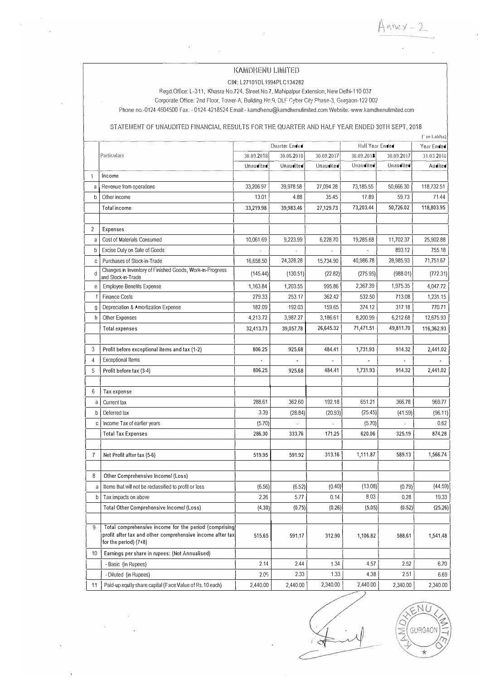KAMDHENU LIMITED

Annex - 2

CIN: L27101DL1994PLC134282

Regd.Office: L-311, Khasra No.724, Street No.7, Mahipalpur Extension, New Delhi-110 037

Corporate Office: 2nd Floor, Tower-A, Building No.9, DLF Cyber City Phase-3, Gurgaon-122 002

Phone no.-0124-4604500 Fax: - 0124-4218524 Email:- kamdhenu@kamdhenulimited.com Website:-www.kamdhenulimited.com

### STATEMENT OF UNAUDITED FINANCIAL RESULTS FOR THE QUARTER AND HALF YEAR ENDED 30TH SEPT, 2018

|              |                                                                                                                                                |                                  |            |            |            |            | (' in Lakhs) |
|--------------|------------------------------------------------------------------------------------------------------------------------------------------------|----------------------------------|------------|------------|------------|------------|--------------|
|              |                                                                                                                                                | Half Year Ended<br>Quarter Ended |            |            | Year Ended |            |              |
|              | Particulars                                                                                                                                    | 30.09.2018                       | 30.06.2018 | 30.09.2017 | 30.09,2018 | 30.09.2017 | 31.03.2018   |
|              |                                                                                                                                                | Unaudited                        | Unaudited  | Unaudited  | Unaudited  | Unaudited  | Audited      |
| 1            | Income                                                                                                                                         |                                  |            |            |            |            |              |
| a            | Revenue from operations                                                                                                                        | 33,206.97                        | 39,978.58  | 27,094.28  | 73,185.55  | 50,666.30  | 118,732.51   |
| b            | Other income                                                                                                                                   | 13.01                            | 4.88       | 35.45      | 17.89      | 59.73      | 71.44        |
|              | Total income                                                                                                                                   | 33,219.98                        | 39,983.46  | 27,129.73  | 73,203.44  | 50,726.02  | 118,803.95   |
|              |                                                                                                                                                |                                  |            |            |            |            |              |
| 2            | <b>Expenses</b>                                                                                                                                |                                  |            |            |            |            |              |
| a            | Cost of Materials Consumed                                                                                                                     | 10,061.69                        | 9,223.99   | 6,228.70   | 19,285.68  | 11,702.37  | 25,902.88    |
| b            | Excise Duty on Sale of Goods                                                                                                                   |                                  |            |            |            | 893.12     | 755.18       |
| C            | Purchases of Stock-in-Trade                                                                                                                    | 16,658.50                        | 24,328.28  | 15,734.90  | 40,986.78  | 28,985.93  | 71,751.67    |
| d            | Changes in Inventory of Finished Goods, Work-in-Progress<br>and Stock-in-Trade                                                                 | (145.44)                         | (130.51)   | (22.82)    | (275.95)   | (988.01)   | (772.31)     |
| е            | <b>Employee Benefits Expense</b>                                                                                                               | 1,163.84                         | 1,203.55   | 995.86     | 2,367.39   | 1,975.35   | 4,047.72     |
| f            | <b>Finance Costs</b>                                                                                                                           | 279.33                           | 253.17     | 362.42     | 532.50     | 713.08     | 1,231.15     |
| g            | Depreciation & Amortization Expense                                                                                                            | 182.09                           | 192.03     | 159.65     | 374.12     | 317.18     | 770.71       |
| h            | Other Expenses                                                                                                                                 | 4,213.72                         | 3,987.27   | 3,186.61   | 8,200.99   | 6,212.68   | 12,675.93    |
|              | Total expenses                                                                                                                                 | 32,413.73                        | 39,057.78  | 26,645.32  | 71,471.51  | 49,811.70  | 116,362.93   |
|              |                                                                                                                                                |                                  |            |            |            |            |              |
| 3            | Profit before exceptional items and tax (1-2)                                                                                                  | 806.25                           | 925.68     | 484.41     | 1,731.93   | 914.32     | 2,441.02     |
| 4            | <b>Exceptional Items</b>                                                                                                                       |                                  |            |            |            |            |              |
| 5            | Profit before tax (3-4)                                                                                                                        | 806.25                           | 925.68     | 484.41     | 1,731.93   | 914.32     | 2,441.02     |
|              |                                                                                                                                                |                                  |            |            |            |            |              |
| 6            | Tax expense                                                                                                                                    |                                  |            |            |            |            |              |
| a            | Current tax                                                                                                                                    | 288.61                           | 362.60     | 192.18     | 651.21     | 366.78     | 969.77       |
| b            | Deferred tax                                                                                                                                   | 3.39                             | (28.84)    | (20.93)    | (25.45)    | (41.59)    | (96.11)      |
| C            | Income Tax of earlier years                                                                                                                    | (5.70)                           |            |            | (5.70)     |            | 0.62         |
|              | <b>Total Tax Expenses</b>                                                                                                                      | 286.30                           | 333.76     | 171.25     | 620.06     | 325.19     | 874.28       |
|              |                                                                                                                                                |                                  |            |            |            |            |              |
| 7            | Net Profit after tax (5-6)                                                                                                                     | 519.95                           | 591.92     | 313.16     | 1,111.87   | 589.13     | 1,566.74     |
|              |                                                                                                                                                |                                  |            |            |            |            |              |
| 8            | Other Comprehensive Income/ (Loss)                                                                                                             |                                  |            |            |            |            |              |
| a            | Items that will not be reclassified to profit or loss                                                                                          | (6.56)                           | (6.52)     | (0.40)     | (13.08)    | (0.79)     | (44.59)      |
| $\mathsf{b}$ | Tax impacts on above                                                                                                                           | 2.26                             | 5.77       | 0.14       | 8.03       | 0.28       | 19.33        |
|              | Total Other Comprehensive Income/ (Loss)                                                                                                       | (4.30)                           | (0.75)     | (0.26)     | (5.05)     | (0.52)     | (25.26)      |
|              |                                                                                                                                                |                                  |            |            |            |            |              |
| 9            | Total comprehensive income for the period (comprising)<br>profit after tax and other comprehensive income after tax<br>for the period) $(7+8)$ | 515.65                           | 591.17     | 312.90     | 1,106.82   | 588.61     | 1,541.48     |
| 10           | Earnings per share in rupees: (Not Annualised)                                                                                                 |                                  |            |            |            |            |              |
|              | - Basic (in Rupees)                                                                                                                            | 2.14                             | 2.44       | 1.34       | 4.57       | 2.52       | 6.70         |
|              | - Diluted (in Rupees)                                                                                                                          | 2.05                             | 2.33       | 1.33       | 4.38       | 2.51       | 6.69         |
| 11           | Paid-up equity share capital (Face Value of Rs.10 each)                                                                                        | 2,440.00                         | 2,440.00   | 2,340.00   | 2,440.00   | 2,340.00   | 2,340.00     |

#

NI. **GURGAO** ÷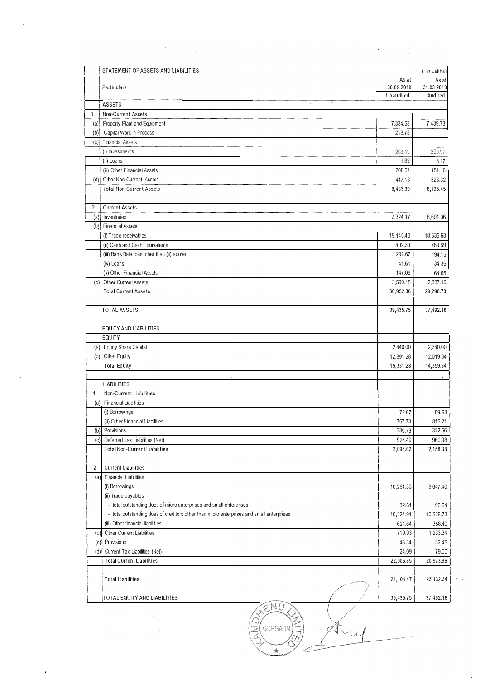|                | STATEMENT OF ASSETS AND LIABILITIES:                                                     | As at      | ( in Lakhs)<br>As at |
|----------------|------------------------------------------------------------------------------------------|------------|----------------------|
|                | Particulars                                                                              | 30.09.2018 | 31.03.2018           |
|                |                                                                                          | Unaudited  | Audited              |
|                | $\gamma_{\rm w}$<br>ASSETS<br>$\mathcal{F}$                                              |            |                      |
| 1              | Non-Current Assets                                                                       |            |                      |
|                | (a) Property Plant and Equipment                                                         | 7,334.53   | 7,439.73             |
|                | (b) Capital Work in Process                                                              | 218.73     |                      |
|                | (c) Financial Assets                                                                     |            |                      |
|                | (i) Investments                                                                          | 269.49     | 269.97               |
|                | (ii) Loans                                                                               | 4.82       | 8.27                 |
|                | (iii) Other Financial Assets                                                             | 208.64     | 151.16               |
|                | (d) Other Non-Current Assets                                                             | 447.18     | 326.32               |
|                | <b>Total Non-Current Assets</b>                                                          | 8,483.39   | 8,195.45             |
| $\overline{c}$ | <b>Current Assets</b>                                                                    |            |                      |
|                | (a) Inventories                                                                          | 7,324.17   | 6,691.06             |
|                | (b) Financial Assets                                                                     |            |                      |
|                | (i) Trade receivables                                                                    | 19,145.40  | 18,635.63            |
|                | (ii) Cash and Cash Equivalents                                                           | 402.30     | 789.69               |
|                | (iii) Bank Balances other than (ii) above                                                | 292.67     | 194.15               |
|                | (iv) Loans                                                                               | 41.61      | 34.36                |
|                | (v) Other Financial Assets                                                               | 147.06     | 64.65                |
| (c)            | Other Current Assets                                                                     | 3,599.15   | 2,887.19             |
|                | <b>Total Current Assets</b>                                                              | 30,952.36  | 29,296.73            |
|                | TOTAL ASSETS                                                                             | 39,435.75  | 37,492.18            |
|                |                                                                                          |            |                      |
|                | <b>EQUITY AND LIABILITIES</b>                                                            |            |                      |
|                | <b>EQUITY</b>                                                                            |            |                      |
|                | (a) Equity Share Capital                                                                 | 2,440.00   | 2,340.00             |
| (b)            | Other Equity                                                                             | 12,891.28  | 12,019.84            |
|                | <b>Total Equity</b>                                                                      | 15,331.28  | 14,359.84            |
|                | <b>LIABILITIES</b>                                                                       |            |                      |
| $\mathbf{1}$   | Non-Current Liabilities                                                                  |            |                      |
| (a)            | <b>Financial Liabilities</b>                                                             |            |                      |
|                | (i) Borrowings                                                                           | 72.67      | 59.63                |
|                | (ii) Other Financial Liabilities                                                         | 757.73     | 815.21               |
| (b)            | Provisions                                                                               | 339.73     | 322.56               |
| (c)            | Deferred Tax Liabilities (Net)                                                           | 927.49     | 960.98               |
|                | <b>Total Non-Current Liabilities</b>                                                     | 2,097.62   | 2,158.38             |
| 2              | <b>Current Liabilities</b>                                                               |            |                      |
| (a)            | <b>Financial Liabilities</b>                                                             |            |                      |
|                | (i) Borrowings                                                                           | 10,284.33  | 8,647.40             |
|                | (ii) Trade payables                                                                      |            |                      |
|                | - total outstanding dues of micro enterprises and small enterprises                      | 82.61      | 96.64                |
|                | - total outstanding dues of creditors other than micro enterprises and small enterprises | 10,224.91  | 10,526.73            |
|                | (iii) Other financial liabilities                                                        | 624.64     | 358.40               |
| (b)            | Other Current Liabilities                                                                | 719.93     | 1,233.34             |
|                | (c) Provisions                                                                           | 46.34      | 32.45                |
| (d)            | Current Tax Liabilities (Net)                                                            | 24.09      | 79.00                |
|                | <b>Total Current Liabilities</b>                                                         | 22,006.85  | 20,973.96            |
|                | <b>Total Liabilities</b>                                                                 | 24,104.47  | 23,132.34            |
|                |                                                                                          |            |                      |
|                | TOTAL EQUITY AND LIABILITIES                                                             | 39,435.75  | 37,492.18            |

 $\mathcal{L}^{\text{max}}_{\text{max}}$ 

 $\hat{\boldsymbol{\cdot}$ 

 $\bar{\beta}$ 

l.

 $\geq$ **QIND**  $\sqrt{\frac{1}{2}}$  GURGAON ·-

 $\ddot{\phantom{a}}$ 

 $\omega_{\rm{max}}$ 

 $\mathcal{L}^{\text{max}}_{\text{max}}$  , where  $\mathcal{L}^{\text{max}}_{\text{max}}$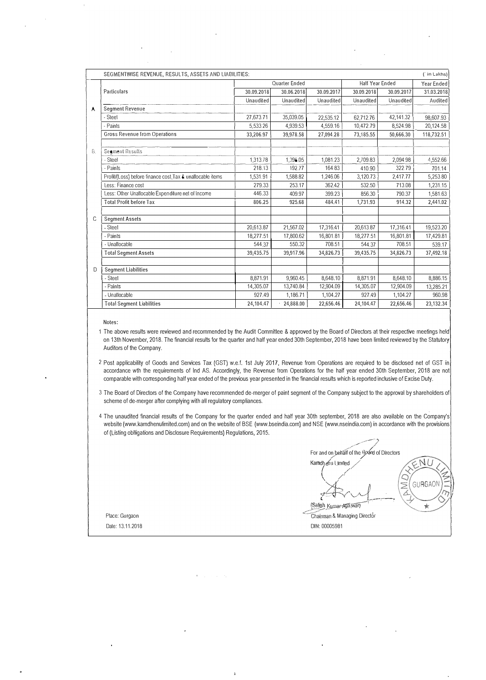|    | SEGMENTWISE REVENUE, RESULTS, ASSETS AND LIABILITIES:      |            |               |            |                 |            | (in Lakhs) |
|----|------------------------------------------------------------|------------|---------------|------------|-----------------|------------|------------|
|    |                                                            |            | Quarter Ended |            | Half Year Ended |            | Year Ended |
|    | Particulars                                                | 30.09.2018 | 30.06.2018    | 30.09.2017 | 30.09.2018      | 30.09.2017 | 31.03.2018 |
|    |                                                            | Unaudited  | Unaudited     | Unaudited  | Unaudited       | Unaudited  | Audited    |
| A. | <b>Segment Revenue</b>                                     |            |               |            |                 |            |            |
|    | - Steel                                                    | 27,673.71  | 35,039.05     | 22,535.12  | 62,712.76       | 42,141.32  | 98,607.93  |
|    | Paints                                                     | 5,533.26   | 4,939.53      | 4,559.16   | 10,472.79       | 8,524.98   | 20,124.58  |
|    | <b>Gross Revenue from Operations</b>                       | 33,206.97  | 39,978.58     | 27.094.28  | 73,185.55       | 50.666.30  | 118,732.51 |
|    |                                                            |            |               |            |                 |            |            |
| 8. | Seament Results                                            |            |               |            |                 |            |            |
|    | - Steel                                                    | 1,313.78   | 1,396.05      | 1,081.23   | 2,709.83        | 2,094.98   | 4,552.66   |
|    | Painls                                                     | 218.13     | 192.77        | 164.83     | 410.90          | 322.79     | 701.14     |
|    | Profil/(Loss) before finance cost, Tax & unallocable items | 1,531.91   | 1,588.82      | 1,246.06   | 3,120.73        | 2,417.77   | 5,253.80   |
|    | Less: Finance cost                                         | 279.33     | 253.17        | 362.42     | 532.50          | 713.08     | 1,231.15   |
|    | Less: Other Unallocable Expenditure net of Income          | 446.33     | 409.97        | 399.23     | 856.30          | 790.37     | 1,581.63   |
|    | <b>Total Profit before Tax</b>                             | 806.25     | 925.68        | 484.41     | 1,731.93        | 914.32     | 2,441.02   |
|    |                                                            |            |               |            |                 |            |            |
| C  | <b>Segment Assets</b>                                      |            |               |            |                 |            |            |
|    | - Steel                                                    | 20,613.87  | 21,567.02     | 17,316.41  | 20,613.87       | 17,316.41  | 19,523.20  |
|    | - Paints                                                   | 18,277.51  | 17,800.62     | 16,801.81  | 18,277.51       | 16,801.81  | 17,429.81  |
|    | - Unallocable                                              | 544.37     | 550.32        | 708.51     | 544.37          | 708.51     | 539.17     |
|    | <b>Total Segment Assets</b>                                | 39,435.75  | 39,917.96     | 34,826,73  | 39,435.75       | 34,826.73  | 37,492.18  |
|    |                                                            |            |               |            |                 |            |            |
| D  | <b>Segment Liabilities</b>                                 |            |               |            |                 |            |            |
|    | - Steel                                                    | 8.871.91   | 9.960.45      | 8.648.10   | 8.871.91        | 8.648.10   | 8,886.15   |
|    | - Paints                                                   | 14,305.07  | 13,740.84     | 12,904.09  | 14,305.07       | 12,904.09  | 13,285.21  |
|    | - Unallocable                                              | 927.49     | 1,186.71      | 1,104.27   | 927.49          | 1,104.27   | 960.98     |
|    | <b>Total Segment Liabilities</b>                           | 24.104.47  | 24,888.00     | 22.656.46  | 24.104.47       | 22.656.46  | 23,132.34  |

Notes:

1 The above results were reviewed and recommended by the Audit Committee & approved by the Board of Directors at their respective meetings held on 13th November, 2018. The financial results for the quarter and half year ended 30th September, 2018 have been limited reviewed by the Statutory Auditors of the Company.

2 Post applicability of Goods and Services Tax (GST) w.e.f. 1st July 2017, Revenue from Operations are required to be disclosed net of GST in accordance wth the requirements of Ind AS. Accordingly, the Revenue from Operations for the half year ended 30th September, 2018 are not comparable with corresponding half year ended of the previous year presented in the financial results which is reported inclusive of Excise Duty.

3 The Board of Directors of the Company have recommended de-merger of paint segment of the Company subject to the approval by shareholders of scheme of de-merger after complying with all regulatory compliances.

4 The unaudited financial results of the Company for the quarter ended and half year 30th september, 2018 are also available on the Company's website (www.kamdhenulimited.com) and on the website of BSE (www.bseindia.com) and NSE (www.nseindia.com) in accordance with the provisions of (Listing oblligations and Disclosure Requirements) Regulations, 2015.

-·--- *', ///* / For and on behalf of the Board of Directors N **Ramopenu Ullilleg**<br> **Experience Apartment**<br> **Salish Kumar-Aparway** GURGAO Chairman & Managing Director DIN: 00005981

Place: Gurgaon Date: 13.11.2018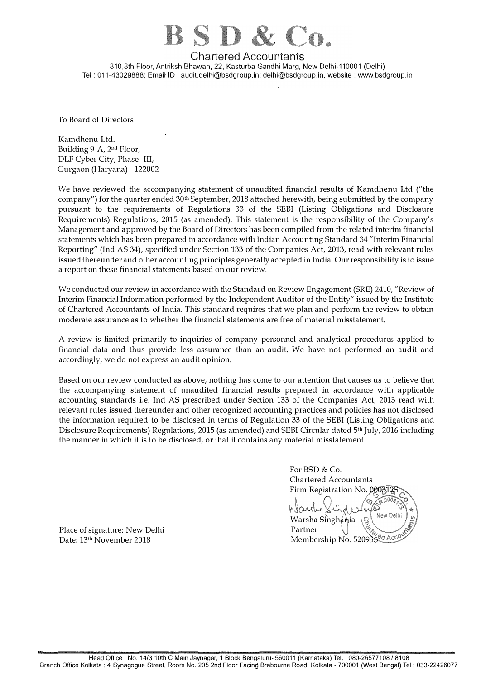

Chartered Accountants <sup>8</sup>10,8th Floor, Antriksh Bhawan, 22, Kasturba Gandhi Marg, New Delhi-110001 (Delhi)

Tel: 011-43029888; Email· ID: audit.delhi@bsdgroup.in; delhi@bsdgroup.in, website: www.bsdgroup.in

To Board of Directors

Kamdhenu Ltd. Building 9-A, 2<sup>nd</sup> Floor, DLF Cyber City, Phase -III, Gurgaon (Haryana) -122002

We have reviewed the accompanying statement of unaudited financial results of Kamdhenu Ltd ("the company") for the quarter ended 30<sup>th</sup> September, 2018 attached herewith, being submitted by the company pursuant to the requirements of Regulations 33 of the SEBI (Listing Obligations and Disclosure Requirements) Regulations, 2015 (as amended). This statement is the responsibility of the Company's Management and approved by the Board of Directors has been compiled from the related interim financial statements which has been prepared in accordance with Indian Accounting Standard 34 "Interim Financial Reporting" (Ind AS 34), specified under Section 133 of the Companies Act, 2013, read with relevant rules issued thereunder and other accounting principles generally accepted in India. Our responsibility is to issue a report on these financial statements based on our review.

We conducted our review in accordance with the Standard on Review Engagement (SRE) 2410, "Review of Interim Financial Information performed by the Independent Auditor of the Entity" issued by the Institute of Chartered Accountants of India. This standard requires that we plan and perform the review to obtain moderate assurance as to whether the financial statements are free of material misstatement.

A review is limited primarily to inquiries of company personnel and analytical procedures applied to financial data and thus provide less assurance than an audit. We have not performed an audit and accordingly, we do not express an audit opinion.

Based on our review conducted as above, nothing has come to our attention that causes us to believe that the accompanying statement of unaudited financial results prepared in accordance with applicable accounting standards i.e. Ind AS prescribed under Section 133 of the Companies Act, 2013 read with relevant rules issued thereunder and other recognized accounting practices and policies has not disclosed the information required to be disclosed in terms of Regulation 33 of the SEBI (Listing Obligations and Disclosure Requirements) Regulations, 2015 (as amended) and SEBI Circular dated 5th July, 2016 including the manner in which it is to be disclosed, or that it contains any material misstatement.

For BSD & Co. Chartered Accountants Firm Registration No. *n �*  New Delh Warsha Singhamia Partner Membership No. 520935 0 Acc

Place of signature: New Delhi Date: 13th November 2018